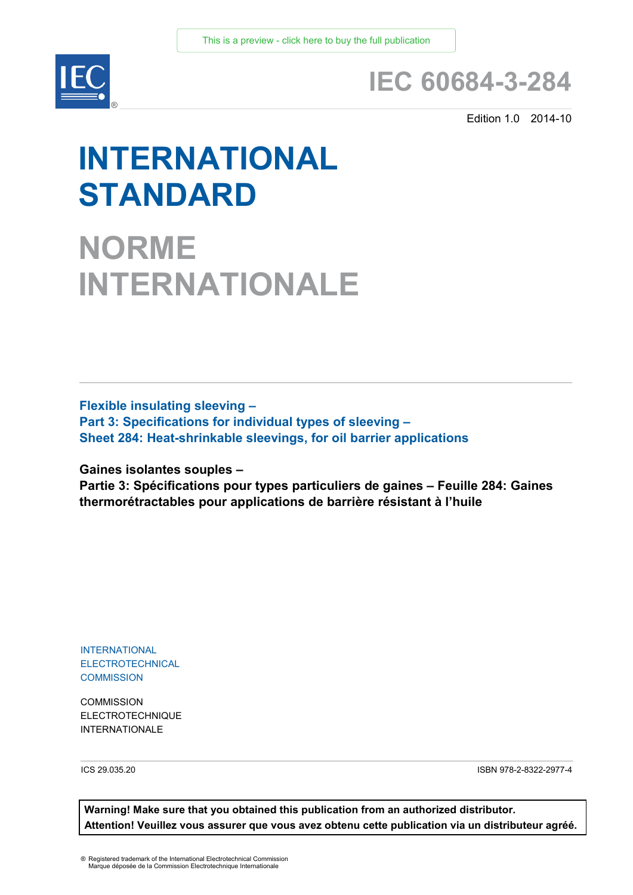

# **IEC 60684-3-284**

Edition 1.0 2014-10

# **INTERNATIONAL STANDARD**

**NORME INTERNATIONALE**

**Flexible insulating sleeving – Part 3: Specifications for individual types of sleeving – Sheet 284: Heat-shrinkable sleevings, for oil barrier applications**

**Gaines isolantes souples –** 

**Partie 3: Spécifications pour types particuliers de gaines – Feuille 284: Gaines thermorétractables pour applications de barrière résistant à l'huile**

INTERNATIONAL ELECTROTECHNICAL **COMMISSION** 

**COMMISSION** ELECTROTECHNIQUE INTERNATIONAL F

ICS 29.035.20 ISBN 978-2-8322-2977-4

**Warning! Make sure that you obtained this publication from an authorized distributor. Attention! Veuillez vous assurer que vous avez obtenu cette publication via un distributeur agréé.**

® Registered trademark of the International Electrotechnical Commission Marque déposée de la Commission Electrotechnique Internationale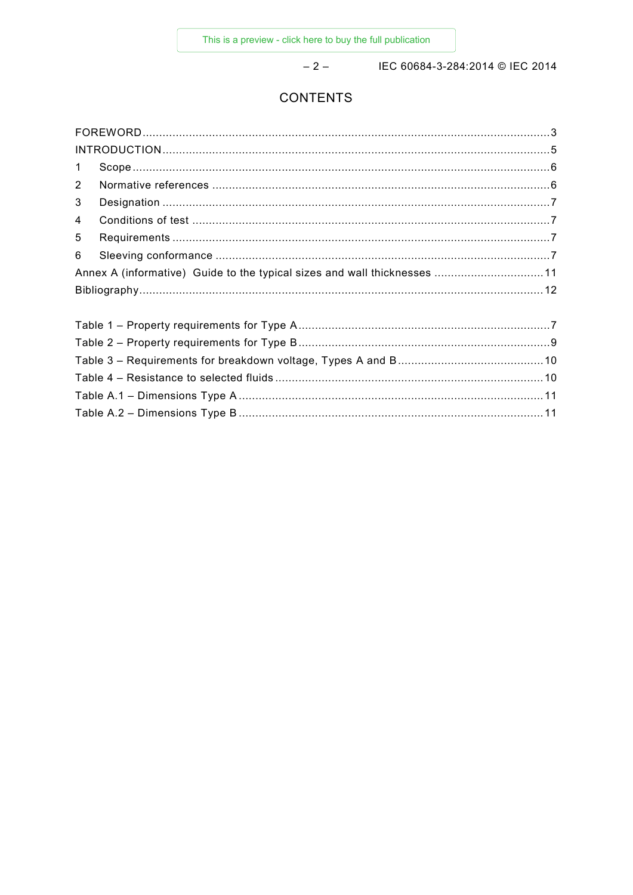$-2-$ 

IEC 60684-3-284:2014 © IEC 2014

# CONTENTS

| $\mathbf{1}$                                                             |  |  |  |
|--------------------------------------------------------------------------|--|--|--|
| $2^{\circ}$                                                              |  |  |  |
| 3                                                                        |  |  |  |
| $\overline{4}$                                                           |  |  |  |
| 5                                                                        |  |  |  |
| 6                                                                        |  |  |  |
| Annex A (informative) Guide to the typical sizes and wall thicknesses 11 |  |  |  |
|                                                                          |  |  |  |
|                                                                          |  |  |  |
|                                                                          |  |  |  |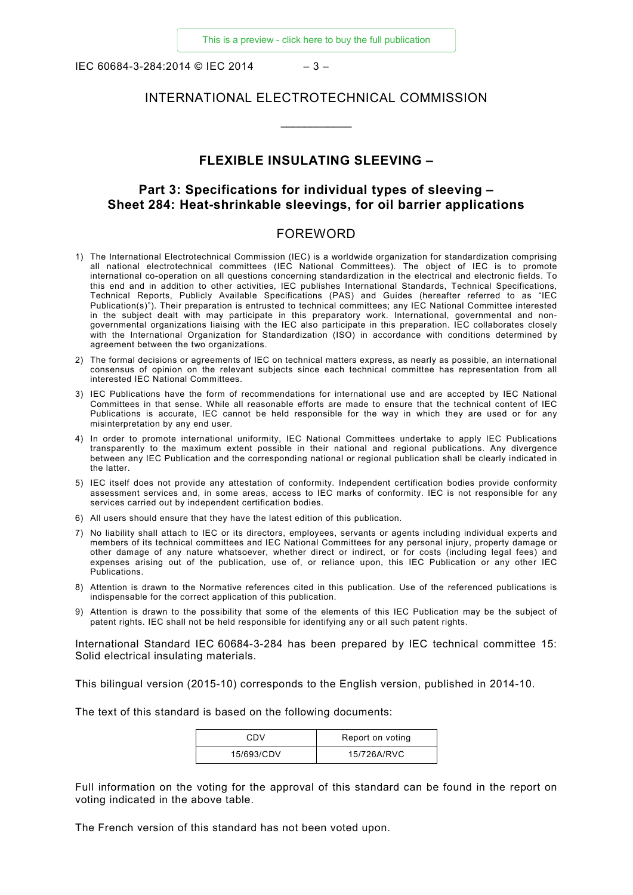IEC 60684-3-284:2014 © IEC 2014 – 3 –

# INTERNATIONAL ELECTROTECHNICAL COMMISSION

 $\overline{\phantom{a}}$ 

# **FLEXIBLE INSULATING SLEEVING –**

# **Part 3: Specifications for individual types of sleeving – Sheet 284: Heat-shrinkable sleevings, for oil barrier applications**

### FOREWORD

- <span id="page-2-0"></span>1) The International Electrotechnical Commission (IEC) is a worldwide organization for standardization comprising all national electrotechnical committees (IEC National Committees). The object of IEC is to promote international co-operation on all questions concerning standardization in the electrical and electronic fields. To this end and in addition to other activities, IEC publishes International Standards, Technical Specifications, Technical Reports, Publicly Available Specifications (PAS) and Guides (hereafter referred to as "IEC Publication(s)"). Their preparation is entrusted to technical committees; any IEC National Committee interested in the subject dealt with may participate in this preparatory work. International, governmental and nongovernmental organizations liaising with the IEC also participate in this preparation. IEC collaborates closely with the International Organization for Standardization (ISO) in accordance with conditions determined by agreement between the two organizations.
- 2) The formal decisions or agreements of IEC on technical matters express, as nearly as possible, an international consensus of opinion on the relevant subjects since each technical committee has representation from all interested IEC National Committees.
- 3) IEC Publications have the form of recommendations for international use and are accepted by IEC National Committees in that sense. While all reasonable efforts are made to ensure that the technical content of IEC Publications is accurate, IEC cannot be held responsible for the way in which they are used or for any misinterpretation by any end user.
- 4) In order to promote international uniformity, IEC National Committees undertake to apply IEC Publications transparently to the maximum extent possible in their national and regional publications. Any divergence between any IEC Publication and the corresponding national or regional publication shall be clearly indicated in the latter.
- 5) IEC itself does not provide any attestation of conformity. Independent certification bodies provide conformity assessment services and, in some areas, access to IEC marks of conformity. IEC is not responsible for any services carried out by independent certification bodies.
- 6) All users should ensure that they have the latest edition of this publication.
- 7) No liability shall attach to IEC or its directors, employees, servants or agents including individual experts and members of its technical committees and IEC National Committees for any personal injury, property damage or other damage of any nature whatsoever, whether direct or indirect, or for costs (including legal fees) and expenses arising out of the publication, use of, or reliance upon, this IEC Publication or any other IEC Publications.
- 8) Attention is drawn to the Normative references cited in this publication. Use of the referenced publications is indispensable for the correct application of this publication.
- 9) Attention is drawn to the possibility that some of the elements of this IEC Publication may be the subject of patent rights. IEC shall not be held responsible for identifying any or all such patent rights.

International Standard IEC 60684-3-284 has been prepared by IEC technical committee 15: Solid electrical insulating materials.

This bilingual version (2015-10) corresponds to the English version, published in 2014-10.

The text of this standard is based on the following documents:

| CDV        | Report on voting |
|------------|------------------|
| 15/693/CDV | 15/726A/RVC      |

Full information on the voting for the approval of this standard can be found in the report on voting indicated in the above table.

The French version of this standard has not been voted upon.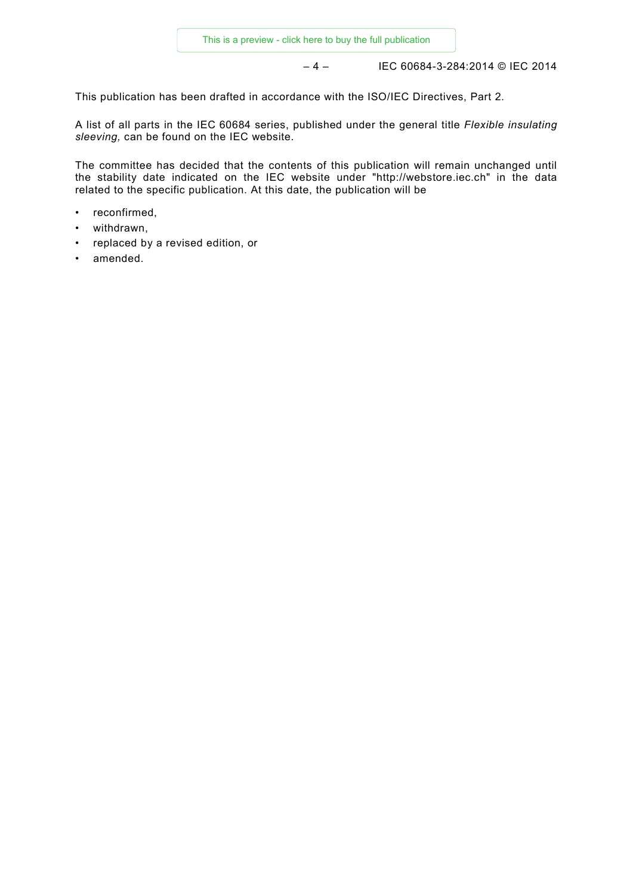– 4 – IEC 60684-3-284:2014 © IEC 2014

This publication has been drafted in accordance with the ISO/IEC Directives, Part 2.

A list of all parts in the IEC 60684 series, published under the general title *Flexible insulating sleeving,* can be found on the IEC website.

The committee has decided that the contents of this publication will remain unchanged until the stability date indicated on the IEC website under "http://webstore.iec.ch" in the data related to the specific publication. At this date, the publication will be

- reconfirmed,
- withdrawn,
- replaced by a revised edition, or
- amended.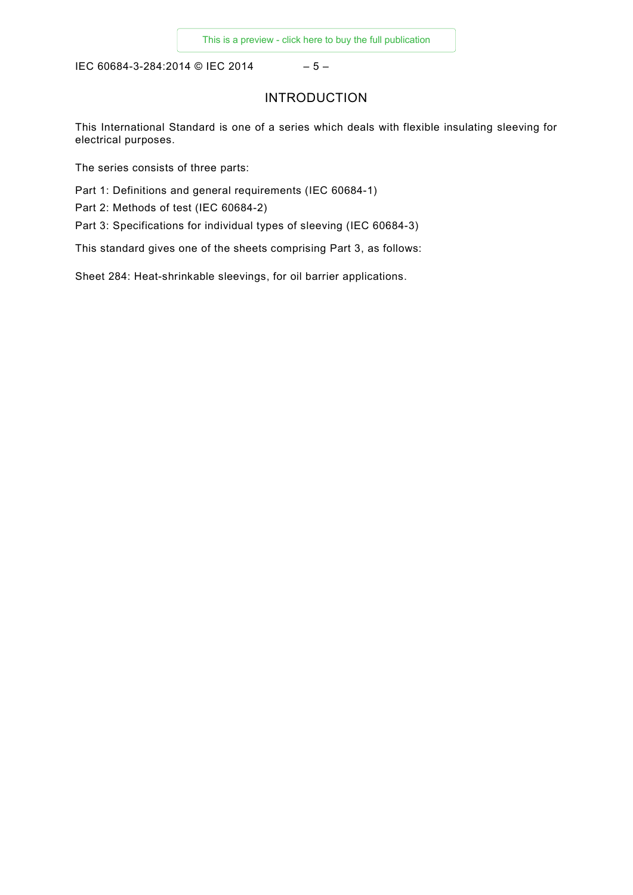<span id="page-4-0"></span>IEC 60684-3-284:2014 © IEC 2014 - 5 -

# INTRODUCTION

This International Standard is one of a series which deals with flexible insulating sleeving for electrical purposes.

The series consists of three parts:

Part 1: Definitions and general requirements (IEC 60684-1)

Part 2: Methods of test (IEC 60684-2)

Part 3: Specifications for individual types of sleeving (IEC 60684-3)

This standard gives one of the sheets comprising Part 3, as follows:

Sheet 284: Heat-shrinkable sleevings, for oil barrier applications.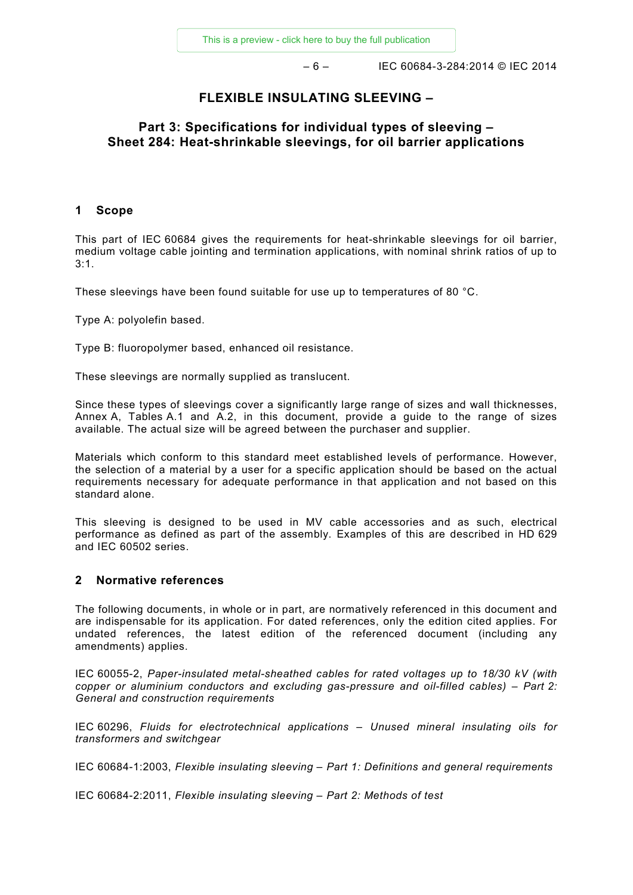– 6 – IEC 60684-3-284:2014 © IEC 2014

# **FLEXIBLE INSULATING SLEEVING –**

# **Part 3: Specifications for individual types of sleeving – Sheet 284: Heat-shrinkable sleevings, for oil barrier applications**

#### <span id="page-5-0"></span>**1 Scope**

This part of IEC 60684 gives the requirements for heat-shrinkable sleevings for oil barrier, medium voltage cable jointing and termination applications, with nominal shrink ratios of up to  $3:1.$ 

These sleevings have been found suitable for use up to temperatures of 80 °C.

Type A: polyolefin based.

Type B: fluoropolymer based, enhanced oil resistance.

These sleevings are normally supplied as translucent.

Since these types of sleevings cover a significantly large range of sizes and wall thicknesses, Annex A, Tables A.1 and A.2, in this document, provide a guide to the range of sizes available. The actual size will be agreed between the purchaser and supplier.

Materials which conform to this standard meet established levels of performance. However, the selection of a material by a user for a specific application should be based on the actual requirements necessary for adequate performance in that application and not based on this standard alone.

This sleeving is designed to be used in MV cable accessories and as such, electrical performance as defined as part of the assembly. Examples of this are described in HD 629 and IEC 60502 series.

# <span id="page-5-1"></span>**2 Normative references**

The following documents, in whole or in part, are normatively referenced in this document and are indispensable for its application. For dated references, only the edition cited applies. For undated references, the latest edition of the referenced document (including any amendments) applies.

IEC 60055-2, *Paper-insulated metal-sheathed cables for rated voltages up to 18/30 kV (with copper or aluminium conductors and excluding gas-pressure and oil-filled cables) – Part 2: General and construction requirements*

IEC 60296, *Fluids for electrotechnical applications – Unused mineral insulating oils for transformers and switchgear*

IEC 60684-1:2003, *Flexible insulating sleeving – Part 1: Definitions and general requirements*

IEC 60684-2:2011, *Flexible insulating sleeving – Part 2: Methods of test*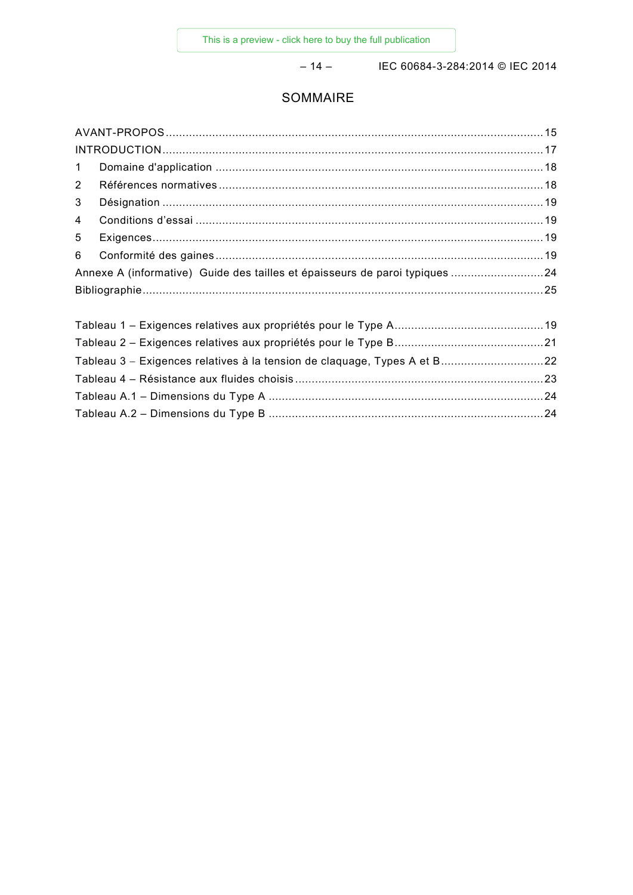$-14-$ 

IEC 60684-3-284:2014 © IEC 2014

# SOMMAIRE

| $\mathbf{1}$   |                                                                             |  |
|----------------|-----------------------------------------------------------------------------|--|
| $\mathbf{2}$   |                                                                             |  |
| 3              |                                                                             |  |
| $\overline{4}$ |                                                                             |  |
| 5 <sup>5</sup> |                                                                             |  |
| 6 <sup>1</sup> |                                                                             |  |
|                | Annexe A (informative) Guide des tailles et épaisseurs de paroi typiques 24 |  |
|                |                                                                             |  |
|                |                                                                             |  |
|                |                                                                             |  |

| Tableau 3 – Exigences relatives à la tension de claquage, Types A et B22 |  |
|--------------------------------------------------------------------------|--|
|                                                                          |  |
|                                                                          |  |
|                                                                          |  |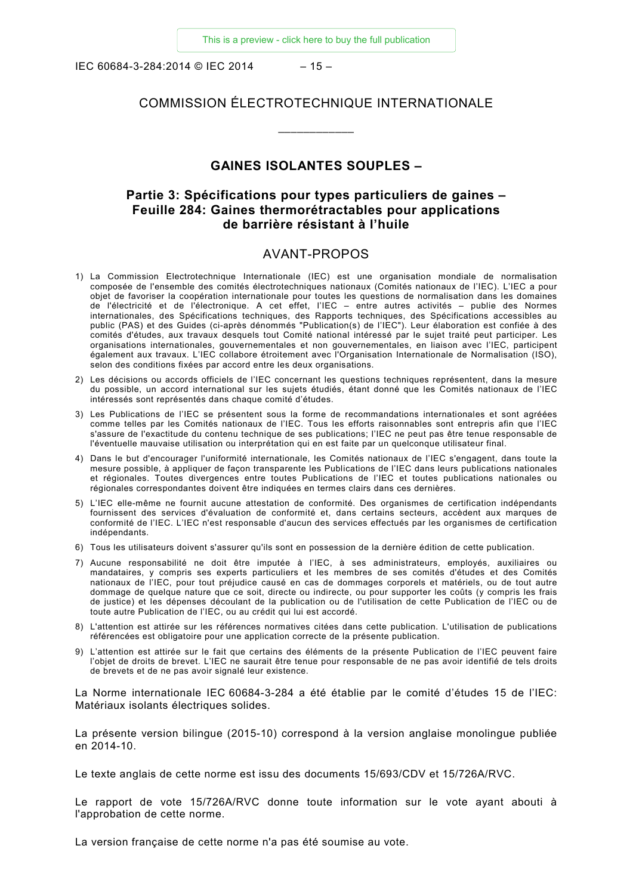IEC 60684-3-284:2014 © IEC 2014 – 15 –

# COMMISSION ÉLECTROTECHNIQUE INTERNATIONALE

\_\_\_\_\_\_\_\_\_\_\_\_

# **GAINES ISOLANTES SOUPLES –**

# **Partie 3: Spécifications pour types particuliers de gaines – Feuille 284: Gaines thermorétractables pour applications de barrière résistant à l'huile**

# AVANT-PROPOS

- <span id="page-7-0"></span>1) La Commission Electrotechnique Internationale (IEC) est une organisation mondiale de normalisation composée de l'ensemble des comités électrotechniques nationaux (Comités nationaux de l'IEC). L'IEC a pour objet de favoriser la coopération internationale pour toutes les questions de normalisation dans les domaines de l'électricité et de l'électronique. A cet effet, l'IEC – entre autres activités – publie des Normes internationales, des Spécifications techniques, des Rapports techniques, des Spécifications accessibles au public (PAS) et des Guides (ci-après dénommés "Publication(s) de l'IEC"). Leur élaboration est confiée à des comités d'études, aux travaux desquels tout Comité national intéressé par le sujet traité peut participer. Les organisations internationales, gouvernementales et non gouvernementales, en liaison avec l'IEC, participent également aux travaux. L'IEC collabore étroitement avec l'Organisation Internationale de Normalisation (ISO), selon des conditions fixées par accord entre les deux organisations.
- 2) Les décisions ou accords officiels de l'IEC concernant les questions techniques représentent, dans la mesure du possible, un accord international sur les sujets étudiés, étant donné que les Comités nationaux de l'IEC intéressés sont représentés dans chaque comité d'études.
- 3) Les Publications de l'IEC se présentent sous la forme de recommandations internationales et sont agréées comme telles par les Comités nationaux de l'IEC. Tous les efforts raisonnables sont entrepris afin que l'IEC s'assure de l'exactitude du contenu technique de ses publications; l'IEC ne peut pas être tenue responsable de l'éventuelle mauvaise utilisation ou interprétation qui en est faite par un quelconque utilisateur final.
- 4) Dans le but d'encourager l'uniformité internationale, les Comités nationaux de l'IEC s'engagent, dans toute la mesure possible, à appliquer de façon transparente les Publications de l'IEC dans leurs publications nationales et régionales. Toutes divergences entre toutes Publications de l'IEC et toutes publications nationales ou régionales correspondantes doivent être indiquées en termes clairs dans ces dernières.
- 5) L'IEC elle-même ne fournit aucune attestation de conformité. Des organismes de certification indépendants fournissent des services d'évaluation de conformité et, dans certains secteurs, accèdent aux marques de conformité de l'IEC. L'IEC n'est responsable d'aucun des services effectués par les organismes de certification indépendants.
- 6) Tous les utilisateurs doivent s'assurer qu'ils sont en possession de la dernière édition de cette publication.
- 7) Aucune responsabilité ne doit être imputée à l'IEC, à ses administrateurs, employés, auxiliaires ou mandataires, y compris ses experts particuliers et les membres de ses comités d'études et des Comités nationaux de l'IEC, pour tout préjudice causé en cas de dommages corporels et matériels, ou de tout autre dommage de quelque nature que ce soit, directe ou indirecte, ou pour supporter les coûts (y compris les frais de justice) et les dépenses découlant de la publication ou de l'utilisation de cette Publication de l'IEC ou de toute autre Publication de l'IEC, ou au crédit qui lui est accordé.
- 8) L'attention est attirée sur les références normatives citées dans cette publication. L'utilisation de publications référencées est obligatoire pour une application correcte de la présente publication.
- 9) L'attention est attirée sur le fait que certains des éléments de la présente Publication de l'IEC peuvent faire l'objet de droits de brevet. L'IEC ne saurait être tenue pour responsable de ne pas avoir identifié de tels droits de brevets et de ne pas avoir signalé leur existence.

La Norme internationale IEC 60684-3-284 a été établie par le comité d'études 15 de l'IEC: Matériaux isolants électriques solides.

La présente version bilingue (2015-10) correspond à la version anglaise monolingue publiée en 2014-10.

Le texte anglais de cette norme est issu des documents 15/693/CDV et 15/726A/RVC.

Le rapport de vote 15/726A/RVC donne toute information sur le vote ayant abouti à l'approbation de cette norme.

La version française de cette norme n'a pas été soumise au vote.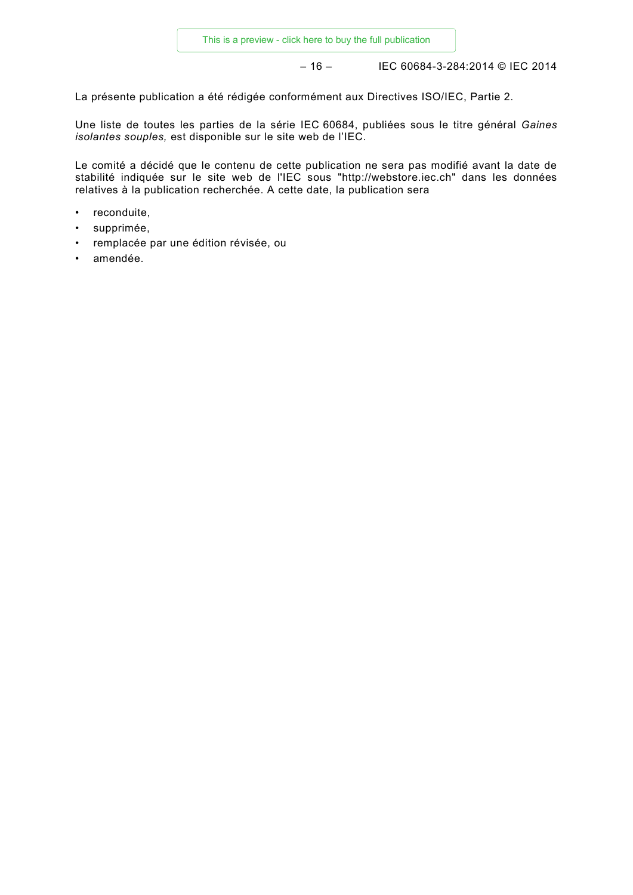– 16 – IEC 60684-3-284:2014 © IEC 2014

La présente publication a été rédigée conformément aux Directives ISO/IEC, Partie 2.

Une liste de toutes les parties de la série IEC 60684, publiées sous le titre général *Gaines isolantes souples,* est disponible sur le site web de l'IEC.

Le comité a décidé que le contenu de cette publication ne sera pas modifié avant la date de stabilité indiquée sur le site web de l'IEC sous "http://webstore.iec.ch" dans les données relatives à la publication recherchée. A cette date, la publication sera

- reconduite,
- supprimée,
- remplacée par une édition révisée, ou
- amendée.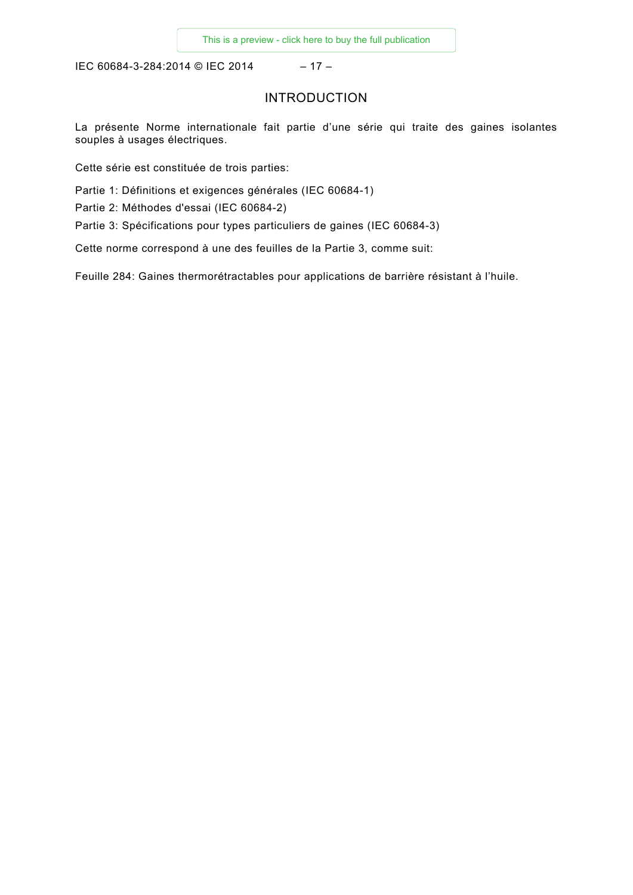<span id="page-9-0"></span>IEC 60684-3-284:2014 © IEC 2014 - 17 -

# INTRODUCTION

La présente Norme internationale fait partie d'une série qui traite des gaines isolantes souples à usages électriques.

Cette série est constituée de trois parties:

Partie 1: Définitions et exigences générales (IEC 60684-1)

Partie 2: Méthodes d'essai (IEC 60684-2)

Partie 3: Spécifications pour types particuliers de gaines (IEC 60684-3)

Cette norme correspond à une des feuilles de la Partie 3, comme suit:

Feuille 284: Gaines thermorétractables pour applications de barrière résistant à l'huile.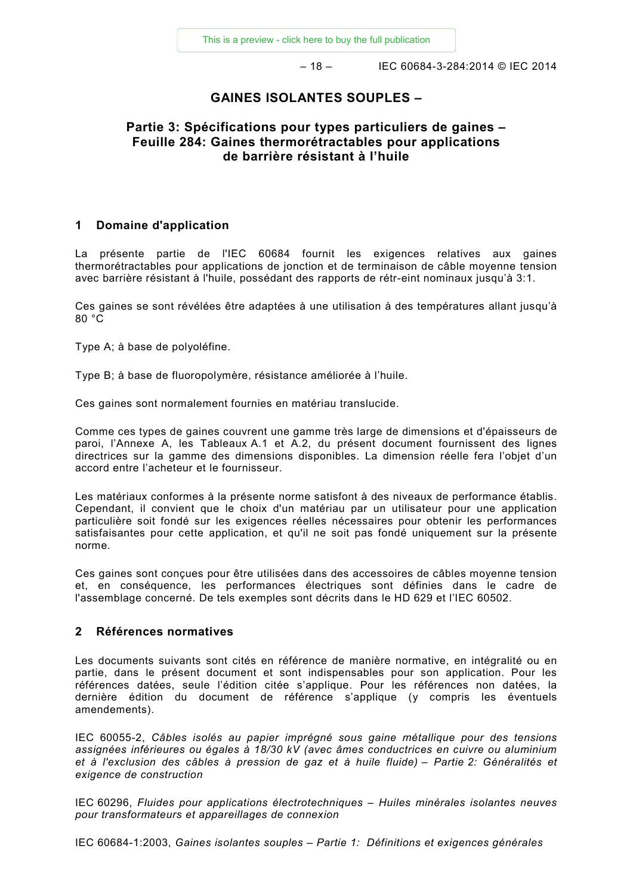$-18 -$  IEC 60684-3-284:2014 © IEC 2014

# **GAINES ISOLANTES SOUPLES –**

# **Partie 3: Spécifications pour types particuliers de gaines – Feuille 284: Gaines thermorétractables pour applications de barrière résistant à l'huile**

# <span id="page-10-0"></span>**1 Domaine d'application**

La présente partie de l'IEC 60684 fournit les exigences relatives aux gaines thermorétractables pour applications de jonction et de terminaison de câble moyenne tension avec barrière résistant à l'huile, possédant des rapports de rétr-eint nominaux jusqu'à 3:1.

Ces gaines se sont révélées être adaptées à une utilisation à des températures allant jusqu'à 80 °C

Type A; à base de polyoléfine.

Type B; à base de fluoropolymère, résistance améliorée à l'huile.

Ces gaines sont normalement fournies en matériau translucide.

Comme ces types de gaines couvrent une gamme très large de dimensions et d'épaisseurs de paroi, l'Annexe A, les Tableaux A.1 et A.2, du présent document fournissent des lignes directrices sur la gamme des dimensions disponibles. La dimension réelle fera l'objet d'un accord entre l'acheteur et le fournisseur.

Les matériaux conformes à la présente norme satisfont à des niveaux de performance établis. Cependant, il convient que le choix d'un matériau par un utilisateur pour une application particulière soit fondé sur les exigences réelles nécessaires pour obtenir les performances satisfaisantes pour cette application, et qu'il ne soit pas fondé uniquement sur la présente norme.

Ces gaines sont conçues pour être utilisées dans des accessoires de câbles moyenne tension et, en conséquence, les performances électriques sont définies dans le cadre de l'assemblage concerné. De tels exemples sont décrits dans le HD 629 et l'IEC 60502.

# <span id="page-10-1"></span>**2 Références normatives**

Les documents suivants sont cités en référence de manière normative, en intégralité ou en partie, dans le présent document et sont indispensables pour son application. Pour les références datées, seule l'édition citée s'applique. Pour les références non datées, la dernière édition du document de référence s'applique (y compris les éventuels amendements).

IEC 60055-2, *Câbles isolés au papier imprégné sous gaine métallique pour des tensions assignées inférieures ou égales à 18/30 kV (avec âmes conductrices en cuivre ou aluminium et à l'exclusion des câbles à pression de gaz et à huile fluide) – Partie 2: Généralités et exigence de construction*

IEC 60296, *Fluides pour applications électrotechniques – Huiles minérales isolantes neuves pour transformateurs et appareillages de connexion*

IEC 60684-1:2003, *Gaines isolantes souples – Partie 1: Définitions et exigences générales*